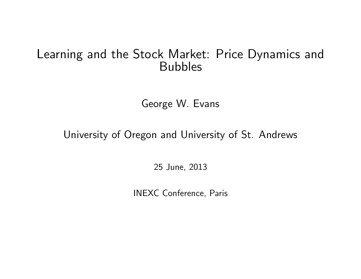# Learning and the Stock Market: Price Dynamics and Bubbles

George W. Evans

University of Oregon and University of St. Andrews

25 June, 2013

INEXC Conference, Paris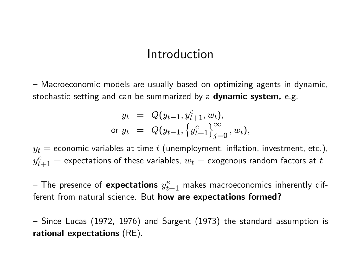### Introduction

 $-$  Macroeconomic models are usually based on optimizing agents in dynamic, stochastic setting and can be summarized by a **dynamic system**, e.g.

$$
y_t = Q(y_{t-1}, y_{t+1}^e, w_t),
$$
  
or  $y_t = Q(y_{t-1}, \{y_{t+1}^e\}_{j=0}^\infty, w_t),$ 

 $y_t =$  economic variables at time  $t$  (unemployment, inflation, investment, etc.),  $y_{t+1}^e=$  expectations of these variables,  $w_t=$  exogenous random factors at  $t$ 

 $-$  The presence of  ${\sf expectations} \,\, y_{t+1}^e$  makes macroeconomics inherently different from natural science. But how are expectations formed?

 $-$  Since Lucas (1972, 1976) and Sargent (1973) the standard assumption is rational expectations (RE).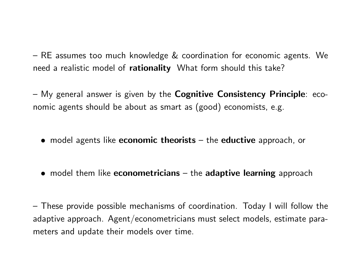$-$  RE assumes too much knowledge  $\&$  coordination for economic agents. We need a realistic model of **rationality** What form should this take?

 $-$  My general answer is given by the Cognitive Consistency Principle: economic agents should be about as smart as (good) economists, e.g.

- $\bullet$  model agents like **economic theorists**  $-$  the **eductive** approach, or
- $\bullet$  model them like **econometricians**  $-$  the **adaptive learning** approach

 $-$  These provide possible mechanisms of coordination. Today I will follow the adaptive approach. Agent/econometricians must select models, estimate parameters and update their models over time.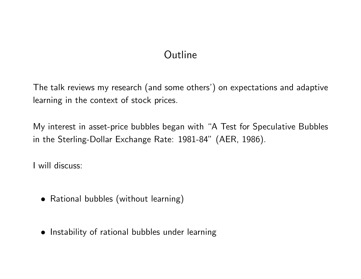# **Outline**

The talk reviews my research (and some others') on expectations and adaptive learning in the context of stock prices.

My interest in asset-price bubbles began with "A Test for Speculative Bubbles in the Sterling-Dollar Exchange Rate: 1981-84" (AER, 1986).

I will discuss:

- Rational bubbles (without learning)
- Instability of rational bubbles under learning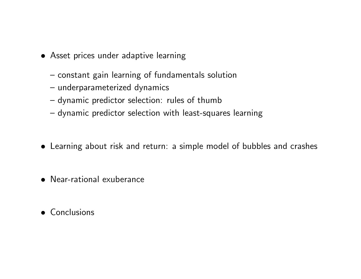- Asset prices under adaptive learning
	- $-$  constant gain learning of fundamentals solution
	- underparameterized dynamics
	- dynamic predictor selection: rules of thumb
	- dynamic predictor selection with least-squares learning
- Learning about risk and return: a simple model of bubbles and crashes
- Near-rational exuberance
- Conclusions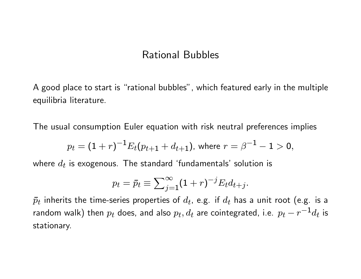### Rational Bubbles

A good place to start is "rational bubbles", which featured early in the multiple equilibria literature.

The usual consumption Euler equation with risk neutral preferences implies

$$
p_t = (1+r)^{-1} E_t(p_{t+1} + d_{t+1}), \text{ where } r = \beta^{-1} - 1 > 0,
$$

where  $d_t$  is exogenous. The standard 'fundamentals' solution is

$$
p_t = \bar{p}_t \equiv \sum_{j=1}^{\infty} (1+r)^{-j} E_t d_{t+j}.
$$

 $\bar p_t$  inherits the time-series properties of  $d_t$ , e.g. if  $d_t$  has a unit root (e.g. is a random walk) then  $p_t$  does, and also  $p_t, d_t$  are cointegrated, i.e.  $p_t - r^{-1} d_t$  is stationary.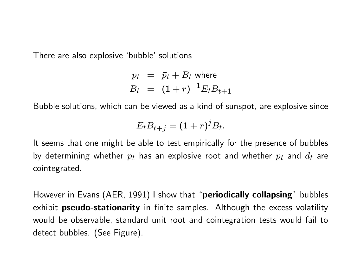There are also explosive 'bubble' solutions

$$
p_t = \bar{p}_t + B_t \text{ where}
$$
  

$$
B_t = (1+r)^{-1} E_t B_{t+1}
$$

Bubble solutions, which can be viewed as a kind of sunspot, are explosive since

$$
E_t B_{t+j} = (1+r)^j B_t.
$$

It seems that one might be able to test empirically for the presence of bubbles by determining whether  $p_t$  has an explosive root and whether  $p_t$  and  $d_t$  are cointegrated.

However in Evans (AER, 1991) I show that "periodically collapsing" bubbles exhibit **pseudo-stationarity** in finite samples. Although the excess volatility would be observable, standard unit root and cointegration tests would fail to detect bubbles. (See Figure).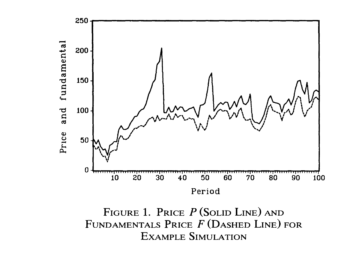

FIGURE 1. PRICE  $P$  (SOLID LINE) AND FUNDAMENTALS PRICE  $F$  (DASHED LINE) FOR **EXAMPLE SIMULATION**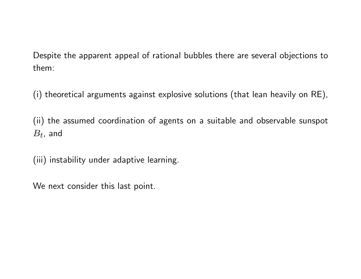Despite the apparent appeal of rational bubbles there are several objections to them:

(i) theoretical arguments against explosive solutions (that lean heavily on RE),

(ii) the assumed coordination of agents on a suitable and observable sunspot  $B_t$ , and

(iii) instability under adaptive learning.

We next consider this last point.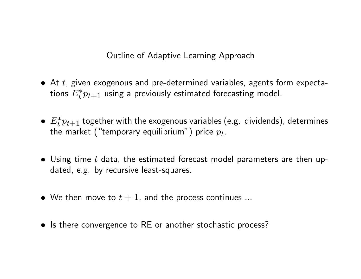Outline of Adaptive Learning Approach

- $\bullet$  At t, given exogenous and pre-determined variables, agents form expectations  $E_t^* p_{t+1}$  using a previously estimated forecasting model.
- $\bullet$   $E_t^* p_{t+1}$  together with the exogenous variables (e.g. dividends), determines the market ("temporary equilibrium") price  $p_t.$
- $\bullet$  Using time t data, the estimated forecast model parameters are then updated, e.g. by recursive least-squares.
- We then move to  $t + 1$ , and the process continues ...
- Is there convergence to RE or another stochastic process?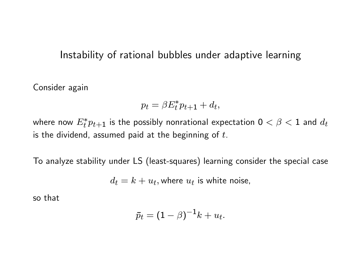### Instability of rational bubbles under adaptive learning

Consider again

$$
p_t = \beta E_t^* p_{t+1} + d_t,
$$

where now  $E_t^* p_{t+1}$  is the possibly nonrational expectation  $0 < \beta < 1$  and  $d_t$ is the dividend, assumed paid at the beginning of  $t$ .

To analyze stability under LS (least-squares) learning consider the special case

 $d_t = k + u_t,$  where  $u_t$  is white noise,

so that

$$
\bar{p}_t = (1 - \beta)^{-1} k + u_t.
$$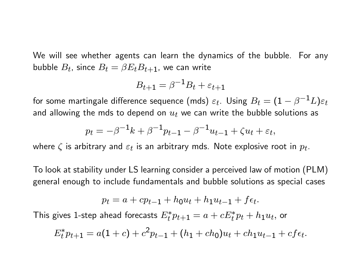We will see whether agents can learn the dynamics of the bubble. For any bubble  $B_t$ , since  $B_t = \beta E_t B_{t+1}$ , we can write

$$
B_{t+1} = \beta^{-1} B_t + \varepsilon_{t+1}
$$

for some martingale difference sequence (mds)  $\varepsilon_t.$  Using  $B_t = (\mathbb{1} - \beta^{-1} L) \varepsilon_t$ and allowing the mds to depend on  $u_t$  we can write the bubble solutions as

$$
p_t = -\beta^{-1}k + \beta^{-1}p_{t-1} - \beta^{-1}u_{t-1} + \zeta u_t + \varepsilon_t,
$$

where  $\zeta$  is arbitrary and  $\varepsilon_t$  is an arbitrary mds. Note explosive root in  $p_t.$ 

To look at stability under LS learning consider a perceived law of motion (PLM) general enough to include fundamentals and bubble solutions as special cases

$$
p_t = a + cp_{t-1} + h_0 u_t + h_1 u_{t-1} + f \epsilon_t.
$$

This gives 1-step ahead forecasts  $E_t^* p_{t+1} = a + c E_t^* p_t + h_1 u_t,$  or

$$
E_t^* p_{t+1} = a(1+c) + c^2 p_{t-1} + (h_1 + ch_0)u_t + ch_1 u_{t-1} + cf\epsilon_t.
$$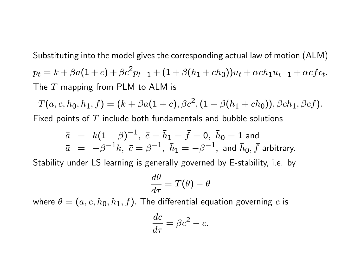Substituting into the model gives the corresponding actual law of motion (ALM)  $p_t = k + \beta a(1+c) + \beta c^2 p_{t-1} + (1+\beta(h_1 + ch_0))u_t + \alpha ch_1u_{t-1} + \alpha cf \epsilon_t.$ The  $T$  mapping from PLM to ALM is

 $T(a,c,h_0,h_1,f)=(k+\beta a(1+c),\beta c^2,(1+\beta(h_1+ch_0)),\beta ch_1,\beta cf).$ Fixed points of  $T$  include both fundamentals and bubble solutions

$$
\bar{a} = k(1 - \beta)^{-1}, \ \bar{c} = \bar{h}_1 = \bar{f} = 0, \ \bar{h}_0 = 1 \text{ and}
$$
  
\n $\bar{a} = -\beta^{-1}k, \ \bar{c} = \beta^{-1}, \ \bar{h}_1 = -\beta^{-1}, \text{ and } \bar{h}_0, \bar{f} \text{ arbitrary.}$ 

Stability under LS learning is generally governed by E-stability, i.e. by

$$
\frac{d\theta}{d\tau}=T(\theta)-\theta
$$

where  $\theta = (a, c, h_0, h_1, f)$ . The differential equation governing c is

$$
\frac{dc}{d\tau} = \beta c^2 - c.
$$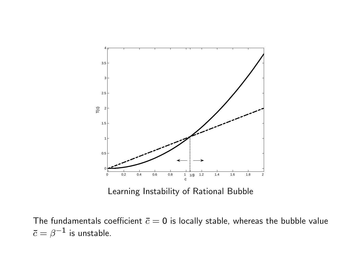

Learning Instability of Rational Bubble

The fundamentals coefficient  $\bar{c} = 0$  is locally stable, whereas the bubble value  $\bar c=\beta^{-1}$  is unstable.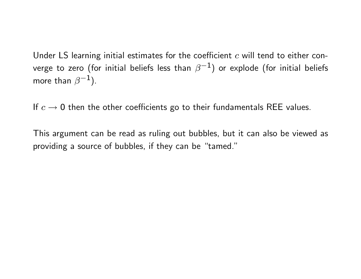Under LS learning initial estimates for the coefficient  $c$  will tend to either converge to zero (for initial beliefs less than  $\beta^{-1})$  or explode (for initial beliefs more than  $\beta^{-1}$ ).

If  $c \rightarrow 0$  then the other coefficients go to their fundamentals REE values.

This argument can be read as ruling out bubbles, but it can also be viewed as providing a source of bubbles, if they can be "tamed."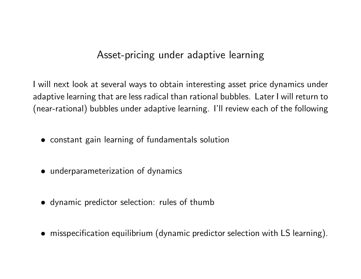### Asset-pricing under adaptive learning

I will next look at several ways to obtain interesting asset price dynamics under adaptive learning that are less radical than rational bubbles. Later I will return to (near-rational) bubbles under adaptive learning. Iíll review each of the following

- constant gain learning of fundamentals solution
- underparameterization of dynamics
- dynamic predictor selection: rules of thumb
- misspecification equilibrium (dynamic predictor selection with LS learning).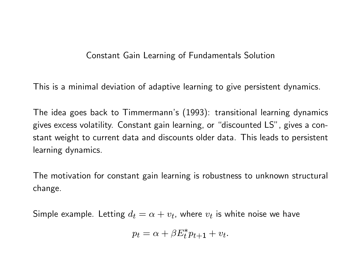#### Constant Gain Learning of Fundamentals Solution

This is a minimal deviation of adaptive learning to give persistent dynamics.

The idea goes back to Timmermann's (1993): transitional learning dynamics gives excess volatility. Constant gain learning, or "discounted LS", gives a constant weight to current data and discounts older data. This leads to persistent learning dynamics.

The motivation for constant gain learning is robustness to unknown structural change.

Simple example. Letting  $d_t = \alpha + v_t$ , where  $v_t$  is white noise we have

$$
p_t = \alpha + \beta E_t^* p_{t+1} + v_t.
$$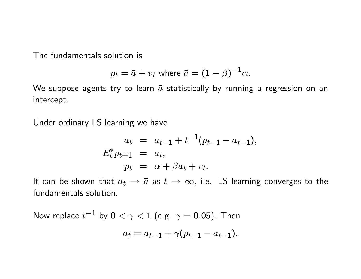The fundamentals solution is

$$
p_t = \bar{a} + v_t
$$
 where  $\bar{a} = (1 - \beta)^{-1} \alpha$ .

We suppose agents try to learn  $\bar{a}$  statistically by running a regression on an intercept.

Under ordinary LS learning we have

$$
a_t = a_{t-1} + t^{-1}(p_{t-1} - a_{t-1}),
$$
  
\n
$$
E_t^* p_{t+1} = a_t,
$$
  
\n
$$
p_t = \alpha + \beta a_t + v_t.
$$

It can be shown that  $a_t \to \bar{a}$  as  $t \to \infty$ , i.e. LS learning converges to the fundamentals solution.

Now replace  $t^{-1}$  by  $0<\gamma< 1$  (e.g.  $\gamma=$  0.05). Then  $a_t = a_{t-1} + \gamma(p_{t-1} - a_{t-1}).$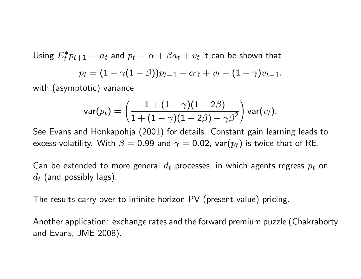Using  $E_t^* p_{t+1} = a_t$  and  $p_t = \alpha + \beta a_t + v_t$  it can be shown that

$$
p_t = (1 - \gamma(1 - \beta))p_{t-1} + \alpha\gamma + v_t - (1 - \gamma)v_{t-1}.
$$

with (asymptotic) variance

$$
\mathsf{var}(p_t) = \left(\frac{1+(1-\gamma)(1-2\beta)}{1+(1-\gamma)(1-2\beta)-\gamma\beta^2}\right)\mathsf{var}(v_t).
$$

See Evans and Honkapohja (2001) for details. Constant gain learning leads to excess volatility. With  $\beta = 0.99$  and  $\gamma = 0.02$ , var $(p_t)$  is twice that of RE.

Can be extended to more general  $d_t$  processes, in which agents regress  $p_t$  on  $d_t$  (and possibly lags).

The results carry over to infinite-horizon PV (present value) pricing.

Another application: exchange rates and the forward premium puzzle (Chakraborty and Evans, JME 2008).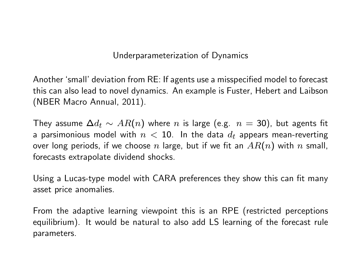#### Underparameterization of Dynamics

Another 'small' deviation from RE: If agents use a misspecified model to forecast this can also lead to novel dynamics. An example is Fuster, Hebert and Laibson (NBER Macro Annual, 2011).

They assume  $\Delta d_t \sim AR(n)$  where n is large (e.g.  $n = 30$ ), but agents fit a parsimonious model with  $n < 10$ . In the data  $d_t$  appears mean-reverting over long periods, if we choose  $n$  large, but if we fit an  $AR(n)$  with  $n$  small, forecasts extrapolate dividend shocks.

Using a Lucas-type model with CARA preferences they show this can fit many asset price anomalies.

From the adaptive learning viewpoint this is an RPE (restricted perceptions equilibrium). It would be natural to also add LS learning of the forecast rule parameters.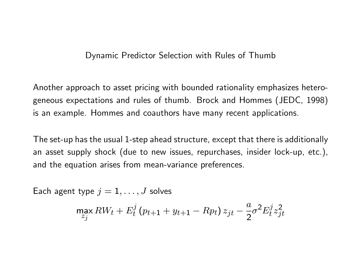#### Dynamic Predictor Selection with Rules of Thumb

Another approach to asset pricing with bounded rationality emphasizes heterogeneous expectations and rules of thumb. Brock and Hommes (JEDC, 1998) is an example. Hommes and coauthors have many recent applications.

The set-up has the usual 1-step ahead structure, except that there is additionally an asset supply shock (due to new issues, repurchases, insider lock-up, etc.), and the equation arises from mean-variance preferences.

Each agent type  $j = 1, \ldots, J$  solves

$$
\max_{z_j} RW_t + E_t^j (p_{t+1} + y_{t+1} - Rp_t) z_{jt} - \frac{a}{2} \sigma^2 E_t^j z_{jt}^2
$$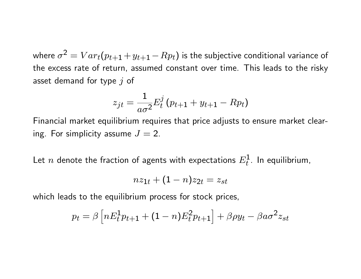where  $\sigma^2=Var_t(p_{t+1}+y_{t+1}-Rp_t)$  is the subjective conditional variance of the excess rate of return, assumed constant over time. This leads to the risky asset demand for type  $j$  of

$$
z_{jt}=\frac{1}{a\sigma^2}E_t^j\left(p_{t+1}+y_{t+1}-Rp_t\right)
$$

Financial market equilibrium requires that price adjusts to ensure market clearing. For simplicity assume  $J = 2$ .

Let  $n$  denote the fraction of agents with expectations  $E_t^{\mathbf{1}}.$  In equilibrium,

$$
nz_{1t} + (1-n)z_{2t} = z_{st}
$$

which leads to the equilibrium process for stock prices,

$$
p_t = \beta \left[ nE_t^1 p_{t+1} + (1-n)E_t^2 p_{t+1} \right] + \beta \rho y_t - \beta a \sigma^2 z_{st}
$$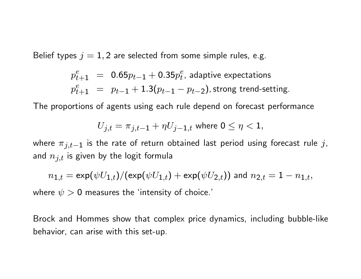Belief types  $j = 1, 2$  are selected from some simple rules, e.g.

$$
p_{t+1}^{e} = 0.65p_{t-1} + 0.35p_t^{e}
$$
, adaptive expectations  

$$
p_{t+1}^{e} = p_{t-1} + 1.3(p_{t-1} - p_{t-2})
$$
, strong trend-setting.

The proportions of agents using each rule depend on forecast performance

$$
U_{j,t} = \pi_{j,t-1} + \eta U_{j-1,t}
$$
 where  $0 \le \eta < 1$ ,

where  $\pi_{j,t-1}$  is the rate of return obtained last period using forecast rule j, and  $n_{j,t}$  is given by the logit formula

$$
n_{1,t}=\exp(\psi U_{1,t})/(\exp(\psi U_{1,t})+\exp(\psi U_{2,t})) \text{ and } n_{2,t}=1-n_{1,t},
$$

where  $\psi > 0$  measures the 'intensity of choice.'

Brock and Hommes show that complex price dynamics, including bubble-like behavior, can arise with this set-up.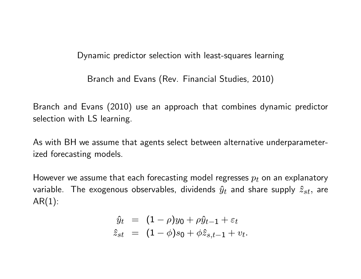Dynamic predictor selection with least-squares learning

Branch and Evans (Rev. Financial Studies, 2010)

Branch and Evans (2010) use an approach that combines dynamic predictor selection with LS learning.

As with BH we assume that agents select between alternative underparameterized forecasting models.

However we assume that each forecasting model regresses  $p_t$  on an explanatory variable. The exogenous observables, dividends  $\hat{y}_t$  and share supply  $\hat{z}_{st}$ , are  $AR(1)$ :

$$
\hat{y}_t = (1 - \rho)y_0 + \rho \hat{y}_{t-1} + \varepsilon_t
$$
  

$$
\hat{z}_{st} = (1 - \phi)s_0 + \phi \hat{z}_{s,t-1} + v_t.
$$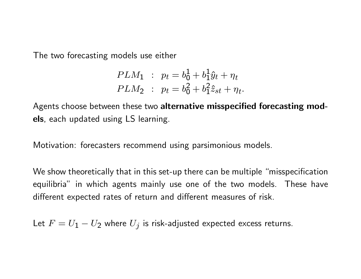The two forecasting models use either

$$
PLM_1 : p_t = b_0^1 + b_1^1 \hat{y}_t + \eta_t
$$
  

$$
PLM_2 : p_t = b_0^2 + b_1^2 \hat{z}_{st} + \eta_t.
$$

Agents choose between these two alternative misspecified forecasting models, each updated using LS learning.

Motivation: forecasters recommend using parsimonious models.

We show theoretically that in this set-up there can be multiple "misspecification equilibria" in which agents mainly use one of the two models. These have different expected rates of return and different measures of risk.

Let  $F=U_{\bf 1}-U_{\bf 2}$  where  $U_j$  is risk-adjusted expected excess returns.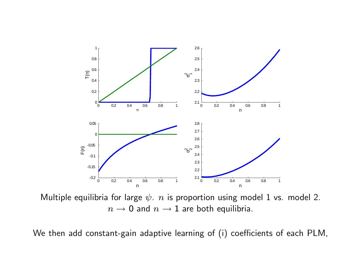

Multiple equilibria for large  $\psi$ . n is proportion using model 1 vs. model 2.  $n \rightarrow 0$  and  $n \rightarrow 1$  are both equilibria.

We then add constant-gain adaptive learning of (i) coefficients of each PLM,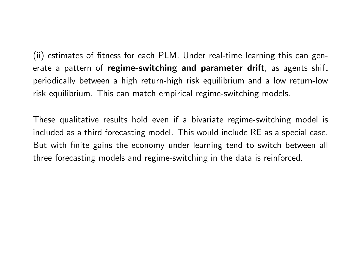(ii) estimates of fitness for each PLM. Under real-time learning this can generate a pattern of regime-switching and parameter drift, as agents shift periodically between a high return-high risk equilibrium and a low return-low risk equilibrium. This can match empirical regime-switching models.

These qualitative results hold even if a bivariate regime-switching model is included as a third forecasting model. This would include RE as a special case. But with finite gains the economy under learning tend to switch between all three forecasting models and regime-switching in the data is reinforced.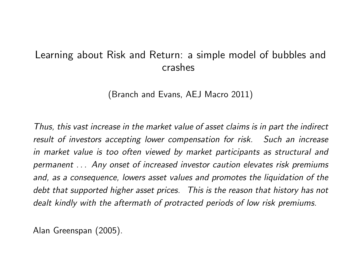### Learning about Risk and Return: a simple model of bubbles and crashes

(Branch and Evans, AEJ Macro 2011)

Thus, this vast increase in the market value of asset claims is in part the indirect result of investors accepting lower compensation for risk. Such an increase in market value is too often viewed by market participants as structural and permanent . . . Any onset of increased investor caution elevates risk premiums and, as a consequence, lowers asset values and promotes the liquidation of the debt that supported higher asset prices. This is the reason that history has not dealt kindly with the aftermath of protracted periods of low risk premiums.

Alan Greenspan (2005).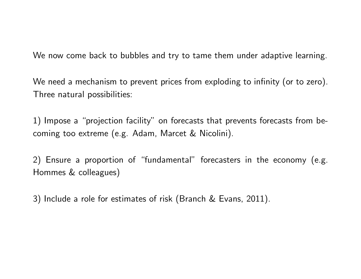We now come back to bubbles and try to tame them under adaptive learning.

We need a mechanism to prevent prices from exploding to infinity (or to zero). Three natural possibilities:

1) Impose a "projection facility" on forecasts that prevents forecasts from becoming too extreme (e.g. Adam, Marcet & Nicolini).

2) Ensure a proportion of "fundamental" forecasters in the economy (e.g. Hommes & colleagues)

3) Include a role for estimates of risk (Branch & Evans, 2011).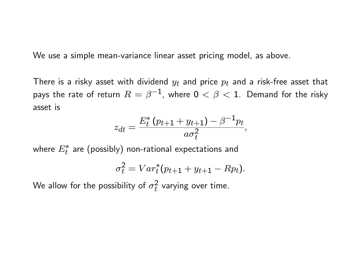We use a simple mean-variance linear asset pricing model, as above.

There is a risky asset with dividend  $y_t$  and price  $p_t$  and a risk-free asset that pays the rate of return  $R=\beta^{-1}$ , where  $0<\beta< 1$ . Demand for the risky asset is

$$
z_{dt} = \frac{E_t^* (p_{t+1} + y_{t+1}) - \beta^{-1} p_t}{a \sigma_t^2},
$$

where  $E_{t}^{\ast}$  are (possibly) non-rational expectations and

$$
\sigma_t^2 = Var_t^*(p_{t+1} + y_{t+1} - Rp_t).
$$

We allow for the possibility of  $\sigma_t^2$  $\frac{2}{t}$  varying over time.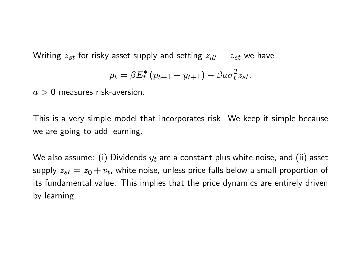Writing  $z_{st}$  for risky asset supply and setting  $z_{dt} = z_{st}$  we have

$$
p_t = \beta E_t^* (p_{t+1} + y_{t+1}) - \beta a \sigma_t^2 z_{st}.
$$

 $a > 0$  measures risk-aversion.

This is a very simple model that incorporates risk. We keep it simple because we are going to add learning.

We also assume: (i) Dividends  $y_t$  are a constant plus white noise, and (ii) asset supply  $z_{st} = z_0 + v_t$ , white noise, unless price falls below a small proportion of its fundamental value. This implies that the price dynamics are entirely driven by learning.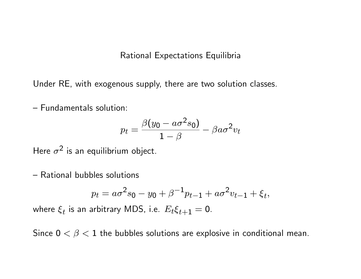#### Rational Expectations Equilibria

Under RE, with exogenous supply, there are two solution classes.

- Fundamentals solution:

$$
p_t = \frac{\beta(y_0 - a\sigma^2 s_0)}{1 - \beta} - \beta a \sigma^2 v_t
$$

Here  $\sigma^2$  is an equilibrium object.

- Rational bubbles solutions

$$
p_t = a\sigma^2 s_0 - y_0 + \beta^{-1} p_{t-1} + a\sigma^2 v_{t-1} + \xi_t,
$$

where  $\xi_t$  is an arbitrary MDS, i.e.  $E_t \xi_{t+1} = \textbf{0}.$ 

Since  $0 < \beta < 1$  the bubbles solutions are explosive in conditional mean.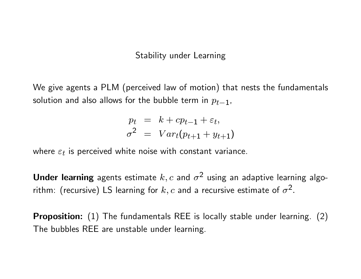#### Stability under Learning

We give agents a PLM (perceived law of motion) that nests the fundamentals solution and also allows for the bubble term in  $p_{t-1}$ ,

$$
p_t = k + cp_{t-1} + \varepsilon_t,
$$
  

$$
\sigma^2 = Var_t(p_{t+1} + y_{t+1})
$$

where  $\varepsilon_t$  is perceived white noise with constant variance.

Under learning agents estimate  $k, c$  and  $\sigma^2$  using an adaptive learning algorithm: (recursive) LS learning for  $k,c$  and a recursive estimate of  $\sigma^2.$ 

**Proposition:** (1) The fundamentals REE is locally stable under learning. (2) The bubbles REE are unstable under learning.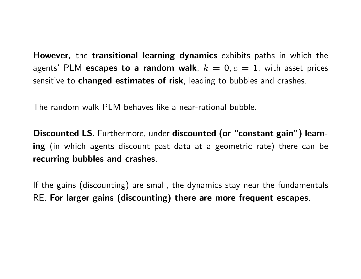However, the transitional learning dynamics exhibits paths in which the agents' PLM escapes to a random walk,  $k = 0, c = 1$ , with asset prices sensitive to **changed estimates of risk**, leading to bubbles and crashes.

The random walk PLM behaves like a near-rational bubble.

Discounted LS. Furthermore, under discounted (or "constant gain") learning (in which agents discount past data at a geometric rate) there can be recurring bubbles and crashes.

If the gains (discounting) are small, the dynamics stay near the fundamentals RE. For larger gains (discounting) there are more frequent escapes.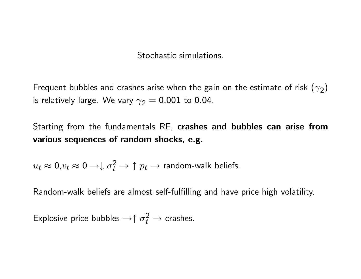Stochastic simulations.

Frequent bubbles and crashes arise when the gain on the estimate of risk  $(\gamma_2)$ is relatively large. We vary  $\gamma_2=0.001$  to 0.04.

Starting from the fundamentals RE, crashes and bubbles can arise from various sequences of random shocks, e.g.

 $u_t\approx \textsf{0}.v_t\approx \textsf{0} \to$ l $\sigma_t^2 \to \uparrow p_t \to$  random-walk beliefs.

Random-walk beliefs are almost self-fulfilling and have price high volatility.

Explosive price bubbles  $\to \uparrow \sigma_t^2 \to$  crashes.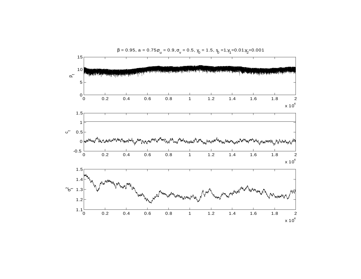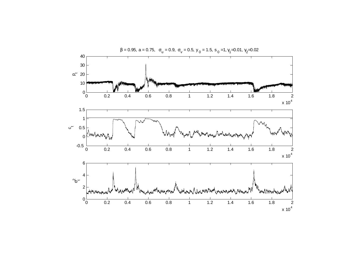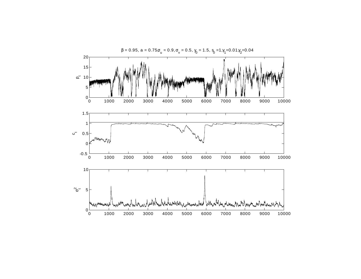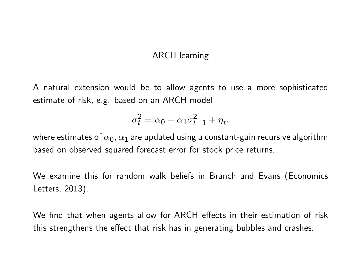#### ARCH learning

A natural extension would be to allow agents to use a more sophisticated estimate of risk, e.g. based on an ARCH model

$$
\sigma_t^2 = \alpha_0 + \alpha_1 \sigma_{t-1}^2 + \eta_t,
$$

where estimates of  $\alpha_0, \alpha_1$  are updated using a constant-gain recursive algorithm based on observed squared forecast error for stock price returns.

We examine this for random walk beliefs in Branch and Evans (Economics Letters, 2013).

We find that when agents allow for ARCH effects in their estimation of risk this strengthens the effect that risk has in generating bubbles and crashes.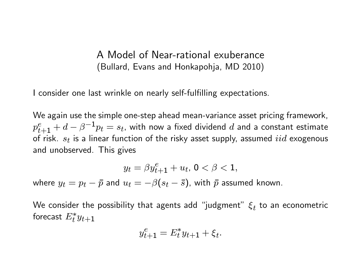A Model of Near-rational exuberance (Bullard, Evans and Honkapohja, MD 2010)

I consider one last wrinkle on nearly self-fulfilling expectations.

We again use the simple one-step ahead mean-variance asset pricing framework,  $p_{t+1}^e + d - \beta^{-1} p_t = s_t$ , with now a fixed dividend  $d$  and a constant estimate of risk.  $s_t$  is a linear function of the risky asset supply, assumed  $iid$  exogenous and unobserved. This gives

$$
y_t = \beta y_{t+1}^e + u_t, \, 0 < \beta < 1,
$$

where  $y_t = p_t - \bar{p}$  and  $u_t = -\beta(s_t - \bar{s})$ , with  $\bar{p}$  assumed known.

We consider the possibility that agents add "judgment"  $\xi_t$  to an econometric forecast  $E_t^*y_{t+1}$ 

$$
y_{t+1}^e = E_t^* y_{t+1} + \xi_t.
$$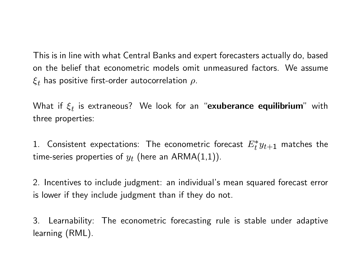This is in line with what Central Banks and expert forecasters actually do, based on the belief that econometric models omit unmeasured factors. We assume  $\xi_t$  has positive first-order autocorrelation  $\rho$ .

What if  $\xi_t$  is extraneous? We look for an "**exuberance equilibrium**" with three properties:

1. Consistent expectations: The econometric forecast  $E_t^*y_{t+1}$  matches the time-series properties of  $y_t$  (here an ARMA $(1,1)$ ).

2. Incentives to include judgment: an individual's mean squared forecast error is lower if they include judgment than if they do not.

3. Learnability: The econometric forecasting rule is stable under adaptive learning (RML).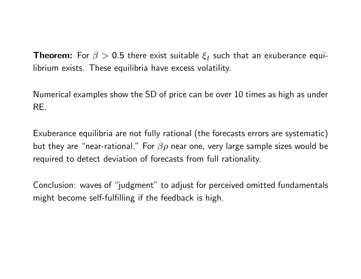**Theorem:** For  $\beta > 0.5$  there exist suitable  $\xi_t$  such that an exuberance equilibrium exists. These equilibria have excess volatility.

Numerical examples show the SD of price can be over 10 times as high as under RE.

Exuberance equilibria are not fully rational (the forecasts errors are systematic) but they are "near-rational." For  $\beta \rho$  near one, very large sample sizes would be required to detect deviation of forecasts from full rationality.

Conclusion: waves of "judgment" to adjust for perceived omitted fundamentals might become self-fulfilling if the feedback is high.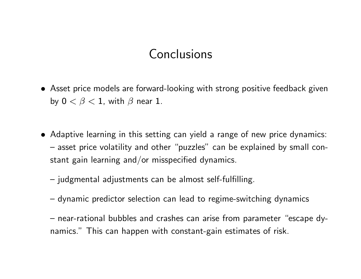# **Conclusions**

- Asset price models are forward-looking with strong positive feedback given by  $0 < \beta < 1$ , with  $\beta$  near 1.
- Adaptive learning in this setting can yield a range of new price dynamics: - asset price volatility and other "puzzles" can be explained by small constant gain learning and/or misspecified dynamics.
	- $-$  judgmental adjustments can be almost self-fulfilling.
	- dynamic predictor selection can lead to regime-switching dynamics
	- near-rational bubbles and crashes can arise from parameter "escape dynamics." This can happen with constant-gain estimates of risk.